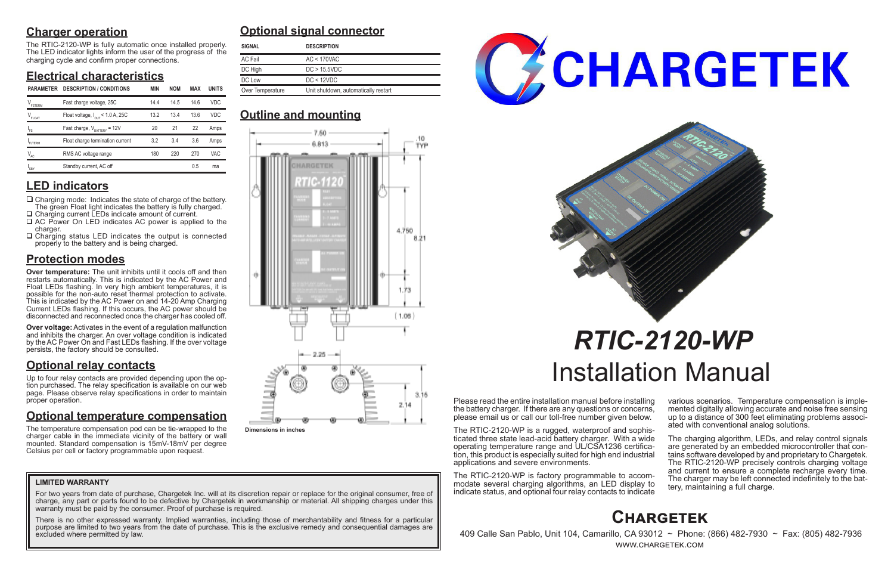# **Charger operation**

The RTIC-2120-WP is fully automatic once installed properly. The LED indicator lights inform the user of the progress of the charging cycle and confirm proper connections.

# **Electrical characteristics**

### **LED indicators**

- $\Box$  Charging mode: Indicates the state of charge of the battery. The green Float light indicates the battery is fully charged. □ Charging current LEDs indicate amount of current.
- □ AC Power On LED indicates AC power is applied to the charger.
- $\Box$  Charging status LED indicates the output is connected properly to the battery and is being charged.

# **Protection modes**

**Over temperature:** The unit inhibits until it cools off and then restarts automatically. This is indicated by the AC Power and Float LEDs flashing. In very high ambient temperatures, it is possible for the non-auto reset thermal protection to activate. This is indicated by the AC Power on and 14-20 Amp Charging Current LEDs flashing. If this occurs, the AC power should be disconnected and reconnected once the charger has cooled off.

**Over voltage:** Activates in the event of a regulation malfunction and inhibits the charger. An over voltage condition is indicated by the AC Power On and Fast LEDs flashing. If the over voltage persists, the factory should be consulted.

# **Optional relay contacts**

Up to four relay contacts are provided depending upon the option purchased. The relay specification is available on our web page. Please observe relay specifications in order to maintain proper operation.

> The charging algorithm, LEDs, and relay control signals are generated by an embedded microcontroller that contains software developed by and proprietary to Chargetek. The RTIC-2120-WP precisely controls charging voltage and current to ensure a complete recharge every time. The charger may be left connected indefinitely to the bat- tery, maintaining a full charge.

# **Optional temperature compensation**

For two years from date of purchase, Chargetek Inc. will at its discretion repair or replace for the original consumer, free of charge, any part or parts found to be defective by Chargetek in workmanship or material. All shipping charges under this warranty must be paid by the consumer. Proof of purchase is required.

The temperature compensation pod can be tie-wrapped to the charger cable in the immediate vicinity of the battery or wall mounted. Standard compensation is 15mV-18mV per degree Celsius per cell or factory programmable upon request.

Please read the entire installation manual before installing the battery charger. If there are any questions or concerns, please email us or call our toll-free number given below.

The RTIC-2120-WP is a rugged, waterproof and sophisticated three state lead-acid battery charger. With a wide tion, this product is especially suited for high end industrial applications and severe environments.

The RTIC-2120-WP is factory programmable to accommodate several charging algorithms, an LED display to indicate status, and optional four relay contacts to indicate various scenarios. Temperature compensation is imple- mented digitally allowing accurate and noise free sensing up to a distance of 300 feet eliminating problems associ- ated with conventional analog solutions.

# *RTIC-2120-WP* Installation Manual

# **Optional signal connector**

# **Outline and mounting**

# **Chargetek**

 409 Calle San Pablo, Unit 104, Camarillo, CA 93012 ~ Phone: (866) 482-7930 ~ Fax: (805) 482-7936 www.chargetek.com

#### **LIMITED WARRANTY**

There is no other expressed warranty. Implied warranties, including those of merchantability and fitness for a particular purpose are limited to two years from the date of purchase. This is the exclusive remedy and consequential damages are excluded where permitted by law.





| <b>SIGNAL</b>    | <b>DESCRIPTION</b>                   |
|------------------|--------------------------------------|
| AC Fail          | $AC < 170$ VAC                       |
| DC High          | DC > 15.5VDC                         |
| DC Low           | DC < 12VDC                           |
| Over Temperature | Unit shutdown, automatically restart |

| <b>PARAMETER</b>              | <b>DESCRIPTION / CONDITIONS</b>              | <b>MIN</b> | <b>NOM</b> | <b>MAX</b> | <b>UNITS</b> | Over Temperature<br>Unit shutdown, automatically restart |  |  |
|-------------------------------|----------------------------------------------|------------|------------|------------|--------------|----------------------------------------------------------|--|--|
| $V_{\texttt{\tiny FSTERM}}$   | Fast charge voltage, 25C                     | 14.4       | 14.5       | 14.6       | VDC.         |                                                          |  |  |
| $\mathsf{V}_{\mathsf{FLOAT}}$ | Float voltage, $I_{\text{OUT}}$ < 1.0 A, 25C | 13.2       | 13.4       | 13.6       | <b>VDC</b>   | <b>Outline and mounting</b>                              |  |  |
| 'FS                           | Fast charge, $V_{\text{raffry}} = 12V$       | 20         | 21         | 22         | Amps         | 7.50.                                                    |  |  |
| FLTERM                        | Float charge termination current             | 3.2        | 3.4        | 3.6        | Amps         | 6.813                                                    |  |  |
| $V_{AC}$                      | RMS AC voltage range                         | 180        | 220        | 270        | VAC          |                                                          |  |  |
| $I_{SBY}$                     | Standby current, AC off                      |            |            | 0.5        | ma           | <b>CONTRACTOR</b> CONTRACTOR                             |  |  |



**Dimensions in inches**